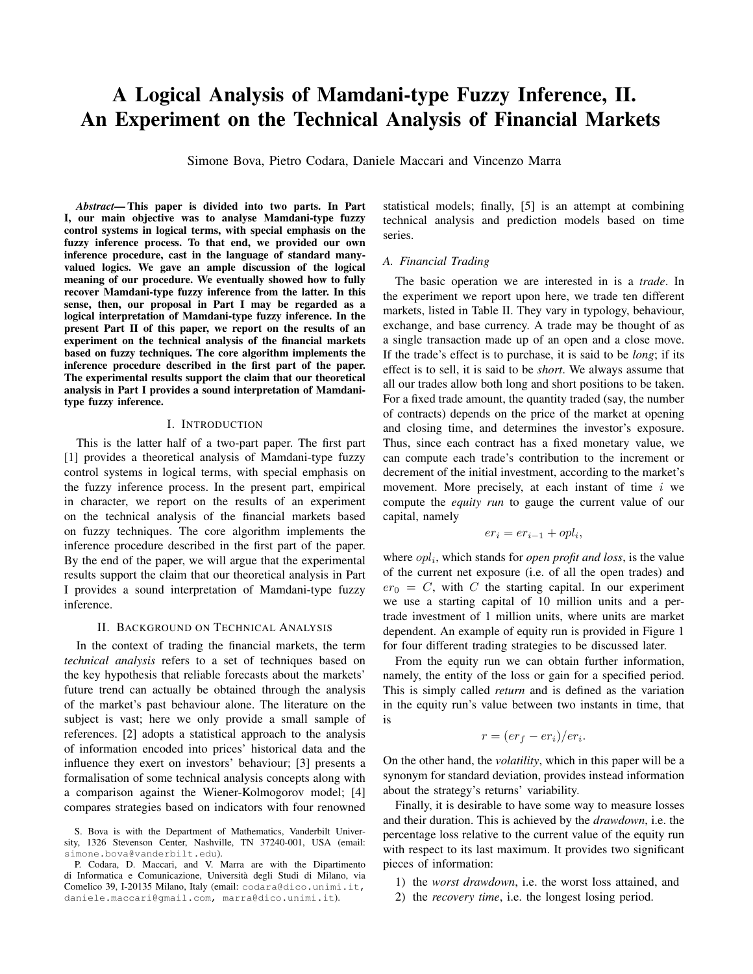# A Logical Analysis of Mamdani-type Fuzzy Inference, II. An Experiment on the Technical Analysis of Financial Markets

Simone Bova, Pietro Codara, Daniele Maccari and Vincenzo Marra

*Abstract*— This paper is divided into two parts. In Part I, our main objective was to analyse Mamdani-type fuzzy control systems in logical terms, with special emphasis on the fuzzy inference process. To that end, we provided our own inference procedure, cast in the language of standard manyvalued logics. We gave an ample discussion of the logical meaning of our procedure. We eventually showed how to fully recover Mamdani-type fuzzy inference from the latter. In this sense, then, our proposal in Part I may be regarded as a logical interpretation of Mamdani-type fuzzy inference. In the present Part II of this paper, we report on the results of an experiment on the technical analysis of the financial markets based on fuzzy techniques. The core algorithm implements the inference procedure described in the first part of the paper. The experimental results support the claim that our theoretical analysis in Part I provides a sound interpretation of Mamdanitype fuzzy inference.

### I. INTRODUCTION

This is the latter half of a two-part paper. The first part [1] provides a theoretical analysis of Mamdani-type fuzzy control systems in logical terms, with special emphasis on the fuzzy inference process. In the present part, empirical in character, we report on the results of an experiment on the technical analysis of the financial markets based on fuzzy techniques. The core algorithm implements the inference procedure described in the first part of the paper. By the end of the paper, we will argue that the experimental results support the claim that our theoretical analysis in Part I provides a sound interpretation of Mamdani-type fuzzy inference.

## II. BACKGROUND ON TECHNICAL ANALYSIS

In the context of trading the financial markets, the term *technical analysis* refers to a set of techniques based on the key hypothesis that reliable forecasts about the markets' future trend can actually be obtained through the analysis of the market's past behaviour alone. The literature on the subject is vast; here we only provide a small sample of references. [2] adopts a statistical approach to the analysis of information encoded into prices' historical data and the influence they exert on investors' behaviour; [3] presents a formalisation of some technical analysis concepts along with a comparison against the Wiener-Kolmogorov model; [4] compares strategies based on indicators with four renowned statistical models; finally, [5] is an attempt at combining technical analysis and prediction models based on time series.

## *A. Financial Trading*

The basic operation we are interested in is a *trade*. In the experiment we report upon here, we trade ten different markets, listed in Table II. They vary in typology, behaviour, exchange, and base currency. A trade may be thought of as a single transaction made up of an open and a close move. If the trade's effect is to purchase, it is said to be *long*; if its effect is to sell, it is said to be *short*. We always assume that all our trades allow both long and short positions to be taken. For a fixed trade amount, the quantity traded (say, the number of contracts) depends on the price of the market at opening and closing time, and determines the investor's exposure. Thus, since each contract has a fixed monetary value, we can compute each trade's contribution to the increment or decrement of the initial investment, according to the market's movement. More precisely, at each instant of time  $i$  we compute the *equity run* to gauge the current value of our capital, namely

$$
er_i = er_{i-1} + opl_i,
$$

where  $\text{opl}_i$ , which stands for *open profit and loss*, is the value of the current net exposure (i.e. of all the open trades) and  $er_0 = C$ , with C the starting capital. In our experiment we use a starting capital of 10 million units and a pertrade investment of 1 million units, where units are market dependent. An example of equity run is provided in Figure 1 for four different trading strategies to be discussed later.

From the equity run we can obtain further information, namely, the entity of the loss or gain for a specified period. This is simply called *return* and is defined as the variation in the equity run's value between two instants in time, that is

$$
r = (er_f - er_i)/er_i.
$$

On the other hand, the *volatility*, which in this paper will be a synonym for standard deviation, provides instead information about the strategy's returns' variability.

Finally, it is desirable to have some way to measure losses and their duration. This is achieved by the *drawdown*, i.e. the percentage loss relative to the current value of the equity run with respect to its last maximum. It provides two significant pieces of information:

- 1) the *worst drawdown*, i.e. the worst loss attained, and
- 2) the *recovery time*, i.e. the longest losing period.

S. Bova is with the Department of Mathematics, Vanderbilt University, 1326 Stevenson Center, Nashville, TN 37240-001, USA (email: simone.bova@vanderbilt.edu).

P. Codara, D. Maccari, and V. Marra are with the Dipartimento di Informatica e Comunicazione, Universita degli Studi di Milano, via ` Comelico 39, I-20135 Milano, Italy (email: codara@dico.unimi.it, daniele.maccari@gmail.com, marra@dico.unimi.it).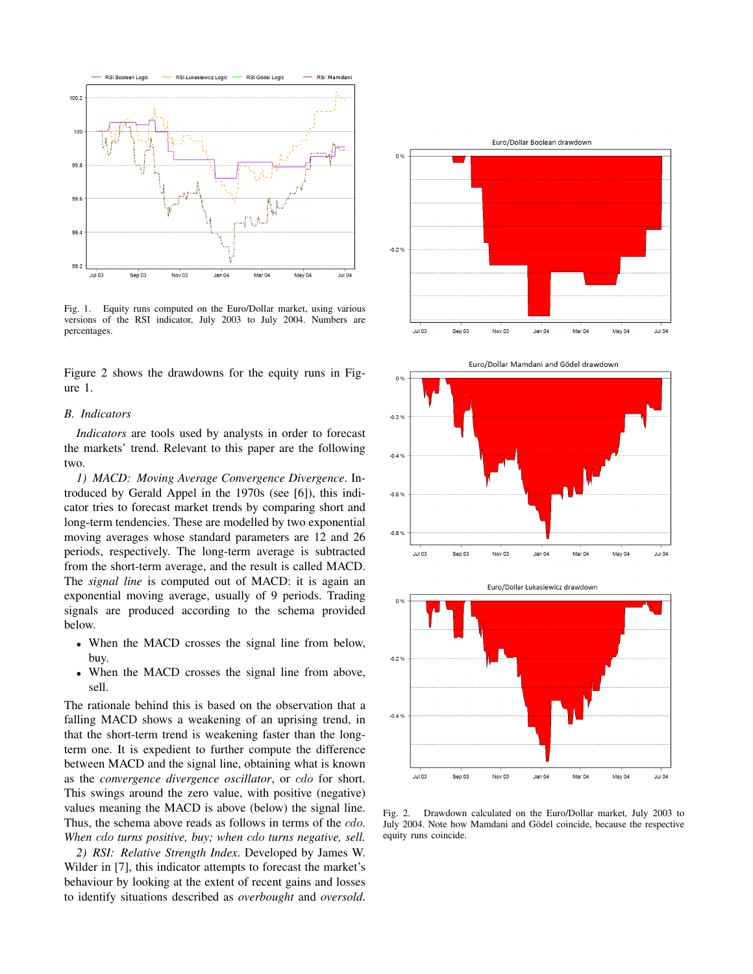

Fig. 1. Equity runs computed on the Euro/Dollar market, using various versions of the RSI indicator, July 2003 to July 2004. Numbers are percentages.

Figure 2 shows the drawdowns for the equity runs in Figure 1.

## *B. Indicators*

*Indicators* are tools used by analysts in order to forecast the markets' trend. Relevant to this paper are the following two.

*1) MACD: Moving Average Convergence Divergence*. Introduced by Gerald Appel in the 1970s (see [6]), this indicator tries to forecast market trends by comparing short and long-term tendencies. These are modelled by two exponential moving averages whose standard parameters are 12 and 26 periods, respectively. The long-term average is subtracted from the short-term average, and the result is called MACD. The *signal line* is computed out of MACD: it is again an exponential moving average, usually of 9 periods. Trading signals are produced according to the schema provided below.

- When the MACD crosses the signal line from below, buy.
- When the MACD crosses the signal line from above, sell.

The rationale behind this is based on the observation that a falling MACD shows a weakening of an uprising trend, in that the short-term trend is weakening faster than the longterm one. It is expedient to further compute the difference between MACD and the signal line, obtaining what is known as the *convergence divergence oscillator*, or cdo for short. This swings around the zero value, with positive (negative) values meaning the MACD is above (below) the signal line. Thus, the schema above reads as follows in terms of the cdo. *When* cdo *turns positive, buy; when* cdo *turns negative, sell.*

*2) RSI: Relative Strength Index*. Developed by James W. Wilder in [7], this indicator attempts to forecast the market's behaviour by looking at the extent of recent gains and losses to identify situations described as *overbought* and *oversold*.







Fig. 2. Drawdown calculated on the Euro/Dollar market, July 2003 to July 2004. Note how Mamdani and Gödel coincide, because the respective equity runs coincide.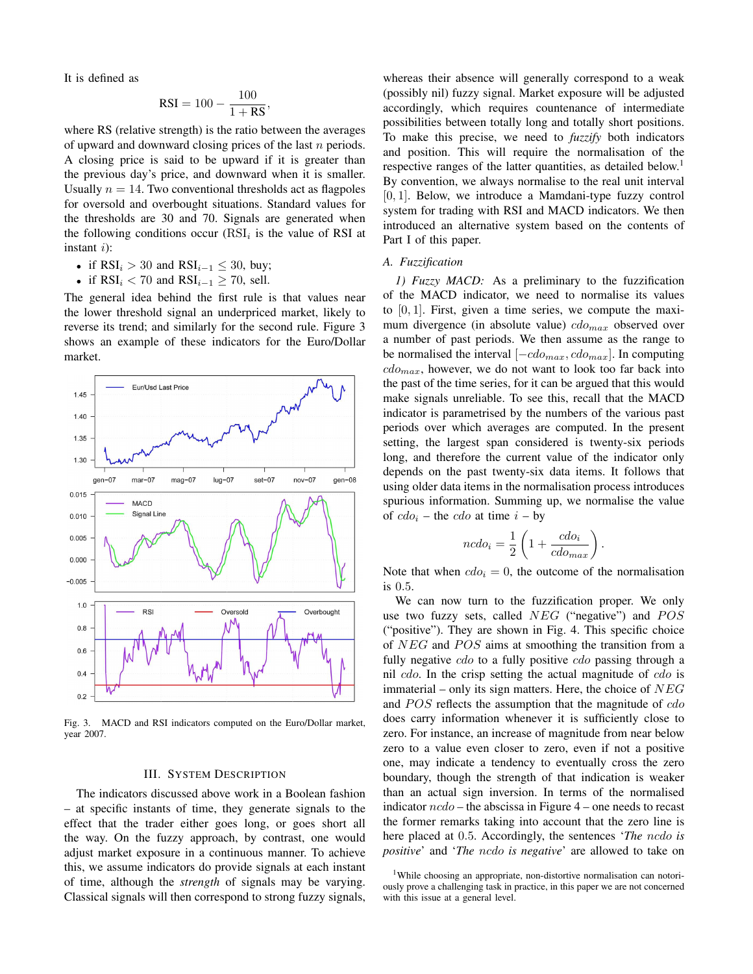It is defined as

$$
RSI = 100 - \frac{100}{1 + RS},
$$

where RS (relative strength) is the ratio between the averages of upward and downward closing prices of the last  $n$  periods. A closing price is said to be upward if it is greater than the previous day's price, and downward when it is smaller. Usually  $n = 14$ . Two conventional thresholds act as flagpoles for oversold and overbought situations. Standard values for the thresholds are 30 and 70. Signals are generated when the following conditions occur  $(RSI_i)$  is the value of RSI at instant  $i$ ):

- if  $\text{RSI}_i > 30$  and  $\text{RSI}_{i-1} \leq 30$ , buy;
- if  $\text{RSI}_i < 70$  and  $\text{RSI}_{i-1} \geq 70$ , sell.

The general idea behind the first rule is that values near the lower threshold signal an underpriced market, likely to reverse its trend; and similarly for the second rule. Figure 3 shows an example of these indicators for the Euro/Dollar market.



Fig. 3. MACD and RSI indicators computed on the Euro/Dollar market, year 2007.

### III. SYSTEM DESCRIPTION

The indicators discussed above work in a Boolean fashion – at specific instants of time, they generate signals to the effect that the trader either goes long, or goes short all the way. On the fuzzy approach, by contrast, one would adjust market exposure in a continuous manner. To achieve this, we assume indicators do provide signals at each instant of time, although the *strength* of signals may be varying. Classical signals will then correspond to strong fuzzy signals,

whereas their absence will generally correspond to a weak (possibly nil) fuzzy signal. Market exposure will be adjusted accordingly, which requires countenance of intermediate possibilities between totally long and totally short positions. To make this precise, we need to *fuzzify* both indicators and position. This will require the normalisation of the respective ranges of the latter quantities, as detailed below.<sup>1</sup> By convention, we always normalise to the real unit interval [0, 1]. Below, we introduce a Mamdani-type fuzzy control system for trading with RSI and MACD indicators. We then introduced an alternative system based on the contents of Part I of this paper.

## *A. Fuzzification*

*1) Fuzzy MACD:* As a preliminary to the fuzzification of the MACD indicator, we need to normalise its values to  $[0, 1]$ . First, given a time series, we compute the maximum divergence (in absolute value)  $\alpha_{max}$  observed over a number of past periods. We then assume as the range to be normalised the interval  $[-cdo_{max}, cdo_{max}]$ . In computing  $\alpha_{max}$ , however, we do not want to look too far back into the past of the time series, for it can be argued that this would make signals unreliable. To see this, recall that the MACD indicator is parametrised by the numbers of the various past periods over which averages are computed. In the present setting, the largest span considered is twenty-six periods long, and therefore the current value of the indicator only depends on the past twenty-six data items. It follows that using older data items in the normalisation process introduces spurious information. Summing up, we normalise the value of  $cdo_i$  – the cdo at time  $i$  – by

$$
ncdo_i = \frac{1}{2} \left( 1 + \frac{cdo_i}{cdo_{max}} \right).
$$

Note that when  $cdo_i = 0$ , the outcome of the normalisation is 0.5.

We can now turn to the fuzzification proper. We only use two fuzzy sets, called  $NEG$  ("negative") and  $POS$ ("positive"). They are shown in Fig. 4. This specific choice of  $NEG$  and  $POS$  aims at smoothing the transition from a fully negative *cdo* to a fully positive *cdo* passing through a nil cdo. In the crisp setting the actual magnitude of cdo is immaterial – only its sign matters. Here, the choice of  $NEG$ and POS reflects the assumption that the magnitude of cdo does carry information whenever it is sufficiently close to zero. For instance, an increase of magnitude from near below zero to a value even closer to zero, even if not a positive one, may indicate a tendency to eventually cross the zero boundary, though the strength of that indication is weaker than an actual sign inversion. In terms of the normalised indicator  $ncdo$  – the abscissa in Figure 4 – one needs to recast the former remarks taking into account that the zero line is here placed at 0.5. Accordingly, the sentences '*The* ncdo *is positive*' and '*The* ncdo *is negative*' are allowed to take on

<sup>1</sup>While choosing an appropriate, non-distortive normalisation can notoriously prove a challenging task in practice, in this paper we are not concerned with this issue at a general level.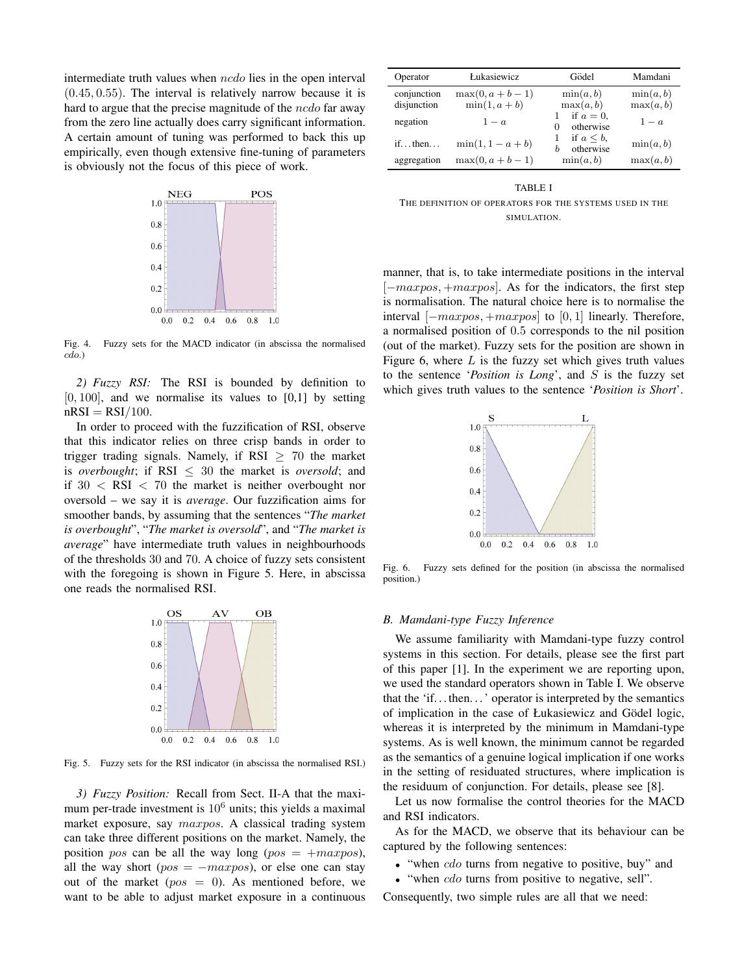intermediate truth values when ncdo lies in the open interval (0.45, 0.55). The interval is relatively narrow because it is hard to argue that the precise magnitude of the ncdo far away from the zero line actually does carry significant information. A certain amount of tuning was performed to back this up empirically, even though extensive fine-tuning of parameters is obviously not the focus of this piece of work.



Fig. 4. Fuzzy sets for the MACD indicator (in abscissa the normalised cdo.)

*2) Fuzzy RSI:* The RSI is bounded by definition to  $[0, 100]$ , and we normalise its values to  $[0, 1]$  by setting  $nRSI = RSI/100$ .

In order to proceed with the fuzzification of RSI, observe that this indicator relies on three crisp bands in order to trigger trading signals. Namely, if RSI  $\geq$  70 the market is *overbought*; if RSI  $\leq$  30 the market is *oversold*; and if  $30 <$  RSI  $<$  70 the market is neither overbought nor oversold – we say it is *average*. Our fuzzification aims for smoother bands, by assuming that the sentences "*The market is overbought*", "*The market is oversold*", and "*The market is average*" have intermediate truth values in neighbourhoods of the thresholds 30 and 70. A choice of fuzzy sets consistent with the foregoing is shown in Figure 5. Here, in abscissa one reads the normalised RSI.



Fig. 5. Fuzzy sets for the RSI indicator (in abscissa the normalised RSI.)

*3) Fuzzy Position:* Recall from Sect. II-A that the maximum per-trade investment is  $10<sup>6</sup>$  units; this yields a maximal market exposure, say maxpos. A classical trading system can take three different positions on the market. Namely, the position *pos* can be all the way long ( $pos = +maxpos$ ), all the way short ( $pos = -maxpos$ ), or else one can stay out of the market ( $pos = 0$ ). As mentioned before, we want to be able to adjust market exposure in a continuous

| Operator                   | Łukasiewicz                          | Gödel                        | Mamdani                   |
|----------------------------|--------------------------------------|------------------------------|---------------------------|
| conjunction<br>disjunction | $\max(0, a+b-1)$<br>$\min(1, a + b)$ | $\min(a, b)$<br>max(a, b)    | $\min(a, b)$<br>max(a, b) |
| negation                   | $1-a$                                | if $a=0$ ,<br>otherwise      | $1-a$                     |
| ifthen                     | $min(1, 1 - a + b)$                  | if $a \leq b$ ,<br>otherwise | $\min(a, b)$              |
| aggregation                | $max(0, a + b - 1)$                  | $\min(a, b)$                 | max(a, b)                 |

TABLE I THE DEFINITION OF OPERATORS FOR THE SYSTEMS USED IN THE SIMULATION.

manner, that is, to take intermediate positions in the interval [ $-maxpos, +maxpos$ ]. As for the indicators, the first step is normalisation. The natural choice here is to normalise the interval  $[-maxpos, +maxpos]$  to [0, 1] linearly. Therefore, a normalised position of 0.5 corresponds to the nil position (out of the market). Fuzzy sets for the position are shown in Figure 6, where  $L$  is the fuzzy set which gives truth values to the sentence '*Position is Long*', and S is the fuzzy set which gives truth values to the sentence '*Position is Short*'.



Fig. 6. Fuzzy sets defined for the position (in abscissa the normalised position.)

## *B. Mamdani-type Fuzzy Inference*

We assume familiarity with Mamdani-type fuzzy control systems in this section. For details, please see the first part of this paper [1]. In the experiment we are reporting upon, we used the standard operators shown in Table I. We observe that the 'if. . . then. . . ' operator is interpreted by the semantics of implication in the case of Łukasiewicz and Gödel logic, whereas it is interpreted by the minimum in Mamdani-type systems. As is well known, the minimum cannot be regarded as the semantics of a genuine logical implication if one works in the setting of residuated structures, where implication is the residuum of conjunction. For details, please see [8].

Let us now formalise the control theories for the MACD and RSI indicators.

As for the MACD, we observe that its behaviour can be captured by the following sentences:

- "when *cdo* turns from negative to positive, buy" and
- "when *cdo* turns from positive to negative, sell".

Consequently, two simple rules are all that we need: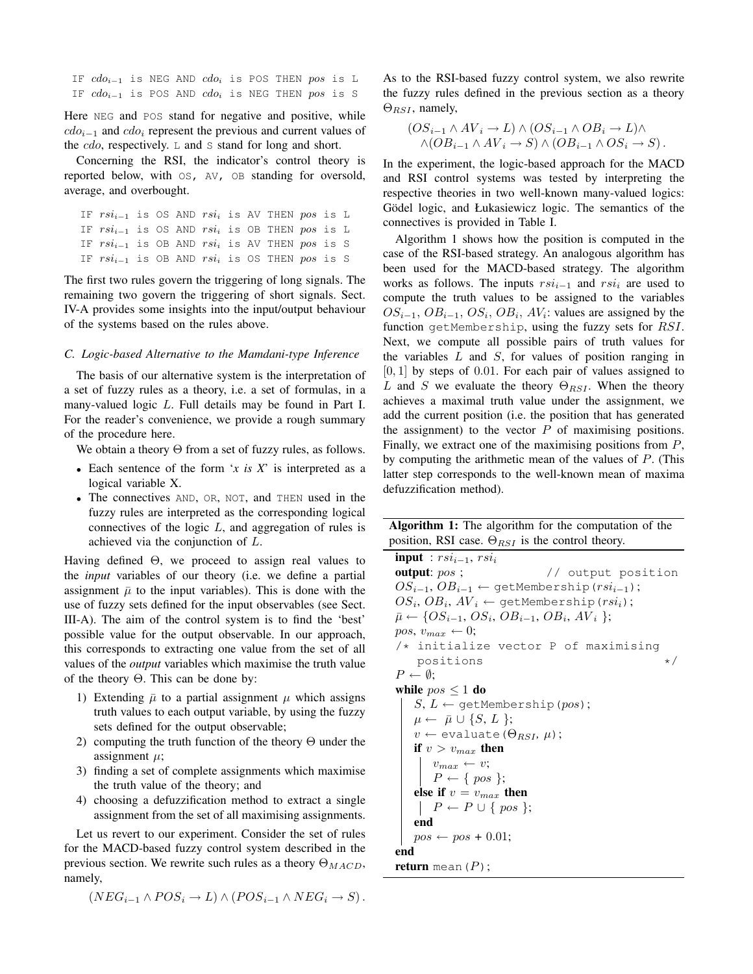IF  $cdo_{i-1}$  is NEG AND  $cdo_i$  is POS THEN pos is L IF  $cdo_{i-1}$  is POS AND  $cdo_i$  is NEG THEN pos is S

Here NEG and POS stand for negative and positive, while  $cdo_{i-1}$  and  $cdo_i$  represent the previous and current values of the  $cdo$ , respectively.  $L$  and  $S$  stand for long and short.

Concerning the RSI, the indicator's control theory is reported below, with OS, AV, OB standing for oversold, average, and overbought.

IF  $rsi_{i-1}$  is OS AND  $rsi_i$  is AV THEN pos is L IF  $rsi_{i-1}$  is OS AND  $rsi_i$  is OB THEN pos is L IF  $rsi_{i-1}$  is OB AND  $rsi_i$  is AV THEN pos is S IF  $rsi_{i-1}$  is OB AND  $rsi_i$  is OS THEN pos is S

The first two rules govern the triggering of long signals. The remaining two govern the triggering of short signals. Sect. IV-A provides some insights into the input/output behaviour of the systems based on the rules above.

## *C. Logic-based Alternative to the Mamdani-type Inference*

The basis of our alternative system is the interpretation of a set of fuzzy rules as a theory, i.e. a set of formulas, in a many-valued logic L. Full details may be found in Part I. For the reader's convenience, we provide a rough summary of the procedure here.

We obtain a theory Θ from a set of fuzzy rules, as follows.

- Each sentence of the form '*x is X*' is interpreted as a logical variable X.
- The connectives AND, OR, NOT, and THEN used in the fuzzy rules are interpreted as the corresponding logical connectives of the logic  $L$ , and aggregation of rules is achieved via the conjunction of L.

Having defined Θ, we proceed to assign real values to the *input* variables of our theory (i.e. we define a partial assignment  $\bar{\mu}$  to the input variables). This is done with the use of fuzzy sets defined for the input observables (see Sect. III-A). The aim of the control system is to find the 'best' possible value for the output observable. In our approach, this corresponds to extracting one value from the set of all values of the *output* variables which maximise the truth value of the theory Θ. This can be done by:

- 1) Extending  $\bar{\mu}$  to a partial assignment  $\mu$  which assigns truth values to each output variable, by using the fuzzy sets defined for the output observable;
- 2) computing the truth function of the theory  $\Theta$  under the assignment  $\mu$ ;
- 3) finding a set of complete assignments which maximise the truth value of the theory; and
- 4) choosing a defuzzification method to extract a single assignment from the set of all maximising assignments.

Let us revert to our experiment. Consider the set of rules for the MACD-based fuzzy control system described in the previous section. We rewrite such rules as a theory  $\Theta_{MACD}$ , namely,

$$
(NEG_{i-1}\wedge POS_{i}\rightarrow L)\wedge (POS_{i-1}\wedge NEG_{i}\rightarrow S).
$$

As to the RSI-based fuzzy control system, we also rewrite the fuzzy rules defined in the previous section as a theory  $\Theta_{RSI}$ , namely,

$$
(OS_{i-1} \wedge AV_i \to L) \wedge (OS_{i-1} \wedge OB_i \to L) \wedge
$$
  
 
$$
\wedge (OB_{i-1} \wedge AV_i \to S) \wedge (OB_{i-1} \wedge OS_i \to S).
$$

In the experiment, the logic-based approach for the MACD and RSI control systems was tested by interpreting the respective theories in two well-known many-valued logics: Gödel logic, and Łukasiewicz logic. The semantics of the connectives is provided in Table I.

Algorithm 1 shows how the position is computed in the case of the RSI-based strategy. An analogous algorithm has been used for the MACD-based strategy. The algorithm works as follows. The inputs  $rsi_{i-1}$  and  $rsi_i$  are used to compute the truth values to be assigned to the variables  $OS_{i-1}$ ,  $OB_{i-1}$ ,  $OS_i$ ,  $OB_i$ ,  $AV_i$ : values are assigned by the function getMembership, using the fuzzy sets for RSI. Next, we compute all possible pairs of truth values for the variables  $L$  and  $S$ , for values of position ranging in  $[0, 1]$  by steps of 0.01. For each pair of values assigned to L and S we evaluate the theory  $\Theta_{RSI}$ . When the theory achieves a maximal truth value under the assignment, we add the current position (i.e. the position that has generated the assignment) to the vector  $P$  of maximising positions. Finally, we extract one of the maximising positions from  $P$ , by computing the arithmetic mean of the values of P. (This latter step corresponds to the well-known mean of maxima defuzzification method).

Algorithm 1: The algorithm for the computation of the position, RSI case.  $\Theta_{RSI}$  is the control theory. input :  $rsi_{i-1}$ ,  $rsi_i$ output: pos;  $\frac{1}{2}$  output position  $OS_{i-1}, OB_{i-1} \leftarrow$  getMembership( $rsi_{i-1}$ );  $OS_i, OB_i, AV_i \leftarrow \texttt{getMembership}(rsi_i);$  $\bar{\mu} \leftarrow \{OS_{i-1}, OS_i, OB_{i-1}, OB_i, AV_i\};$ pos,  $v_{max} \leftarrow 0$ ; /\* initialize vector P of maximising positions  $\star/$  $P \leftarrow \emptyset;$ while  $pos \leq 1$  do  $S, L \leftarrow$  getMembership( $pos$ );  $\mu \leftarrow \bar{\mu} \cup \{S, L\};$  $v \leftarrow$  evaluate ( $\Theta_{RSI}, \mu$ ); if  $v > v_{max}$  then  $v_{max} \leftarrow v;$  $P \leftarrow \{ pos \};$ else if  $v = v_{max}$  then  $\mid P \leftarrow P \cup \{ pos \};$ end  $pos \leftarrow pos + 0.01;$ end return mean  $(P)$ ;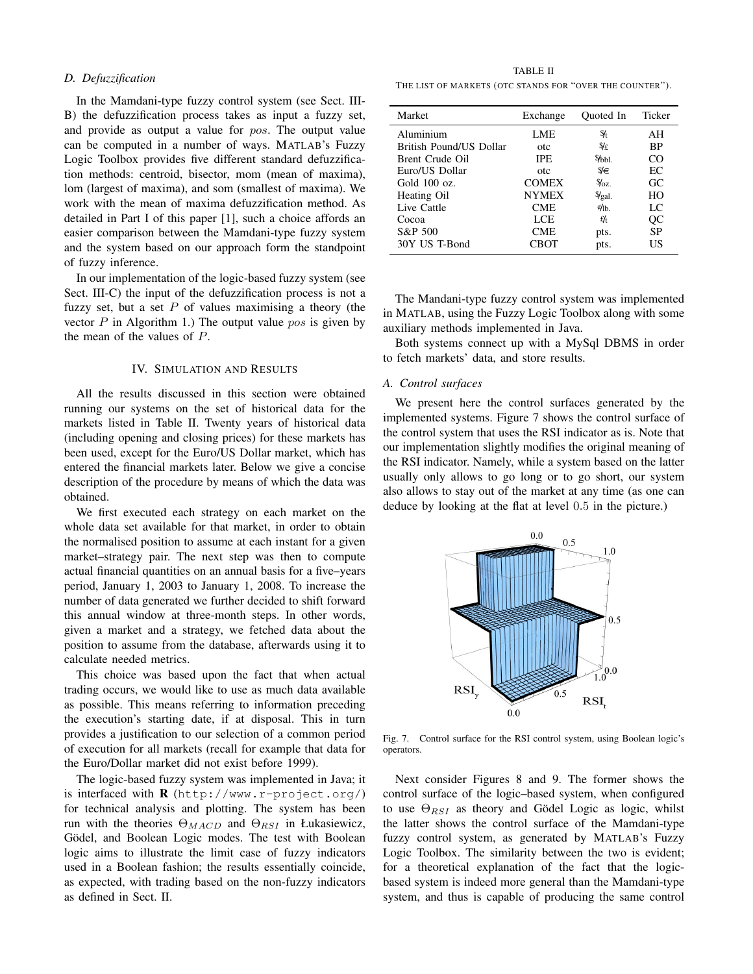## *D. Defuzzification*

In the Mamdani-type fuzzy control system (see Sect. III-B) the defuzzification process takes as input a fuzzy set, and provide as output a value for pos. The output value can be computed in a number of ways. MATLAB's Fuzzy Logic Toolbox provides five different standard defuzzification methods: centroid, bisector, mom (mean of maxima), lom (largest of maxima), and som (smallest of maxima). We work with the mean of maxima defuzzification method. As detailed in Part I of this paper [1], such a choice affords an easier comparison between the Mamdani-type fuzzy system and the system based on our approach form the standpoint of fuzzy inference.

In our implementation of the logic-based fuzzy system (see Sect. III-C) the input of the defuzzification process is not a fuzzy set, but a set  $P$  of values maximising a theory (the vector  $P$  in Algorithm 1.) The output value  $pos$  is given by the mean of the values of  $P$ .

## IV. SIMULATION AND RESULTS

All the results discussed in this section were obtained running our systems on the set of historical data for the markets listed in Table II. Twenty years of historical data (including opening and closing prices) for these markets has been used, except for the Euro/US Dollar market, which has entered the financial markets later. Below we give a concise description of the procedure by means of which the data was obtained.

We first executed each strategy on each market on the whole data set available for that market, in order to obtain the normalised position to assume at each instant for a given market–strategy pair. The next step was then to compute actual financial quantities on an annual basis for a five–years period, January 1, 2003 to January 1, 2008. To increase the number of data generated we further decided to shift forward this annual window at three-month steps. In other words, given a market and a strategy, we fetched data about the position to assume from the database, afterwards using it to calculate needed metrics.

This choice was based upon the fact that when actual trading occurs, we would like to use as much data available as possible. This means referring to information preceding the execution's starting date, if at disposal. This in turn provides a justification to our selection of a common period of execution for all markets (recall for example that data for the Euro/Dollar market did not exist before 1999).

The logic-based fuzzy system was implemented in Java; it is interfaced with R (http://www.r-project.org/) for technical analysis and plotting. The system has been run with the theories  $\Theta_{MACD}$  and  $\Theta_{RSI}$  in Łukasiewicz, Gödel, and Boolean Logic modes. The test with Boolean logic aims to illustrate the limit case of fuzzy indicators used in a Boolean fashion; the results essentially coincide, as expected, with trading based on the non-fuzzy indicators as defined in Sect. II.

TABLE II THE LIST OF MARKETS (OTC STANDS FOR "OVER THE COUNTER").

| Market                  | Exchange     | <b>Ouoted</b> In            | Ticker    |
|-------------------------|--------------|-----------------------------|-----------|
| Aluminium               | LME.         | \$⁄t                        | AH        |
| British Pound/US Dollar | otc          | \$/£                        | BP        |
| Brent Crude Oil         | <b>IPE</b>   | $$$ bbl.                    | CO        |
| Euro/US Dollar          | otc          | \$⁄€                        | EC        |
| Gold 100 oz.            | <b>COMEX</b> | $\mathcal{S}_{0z}$          | GC        |
| Heating Oil             | <b>NYMEX</b> | $\mathcal{Y}_{\text{gal.}}$ | HO        |
| Live Cattle             | <b>CME</b>   | ¢⁄іь.                       | LC        |
| Cocoa                   | <b>LCE</b>   | £h                          | QC        |
| S&P 500                 | <b>CME</b>   | pts.                        | <b>SP</b> |
| 30Y US T-Bond           | CBOT         | pts.                        | US        |
|                         |              |                             |           |

The Mandani-type fuzzy control system was implemented in MATLAB, using the Fuzzy Logic Toolbox along with some auxiliary methods implemented in Java.

Both systems connect up with a MySql DBMS in order to fetch markets' data, and store results.

# *A. Control surfaces*

We present here the control surfaces generated by the implemented systems. Figure 7 shows the control surface of the control system that uses the RSI indicator as is. Note that our implementation slightly modifies the original meaning of the RSI indicator. Namely, while a system based on the latter usually only allows to go long or to go short, our system also allows to stay out of the market at any time (as one can deduce by looking at the flat at level 0.5 in the picture.)



Fig. 7. Control surface for the RSI control system, using Boolean logic's operators.

Next consider Figures 8 and 9. The former shows the control surface of the logic–based system, when configured to use  $\Theta_{RSI}$  as theory and Gödel Logic as logic, whilst the latter shows the control surface of the Mamdani-type fuzzy control system, as generated by MATLAB's Fuzzy Logic Toolbox. The similarity between the two is evident; for a theoretical explanation of the fact that the logicbased system is indeed more general than the Mamdani-type system, and thus is capable of producing the same control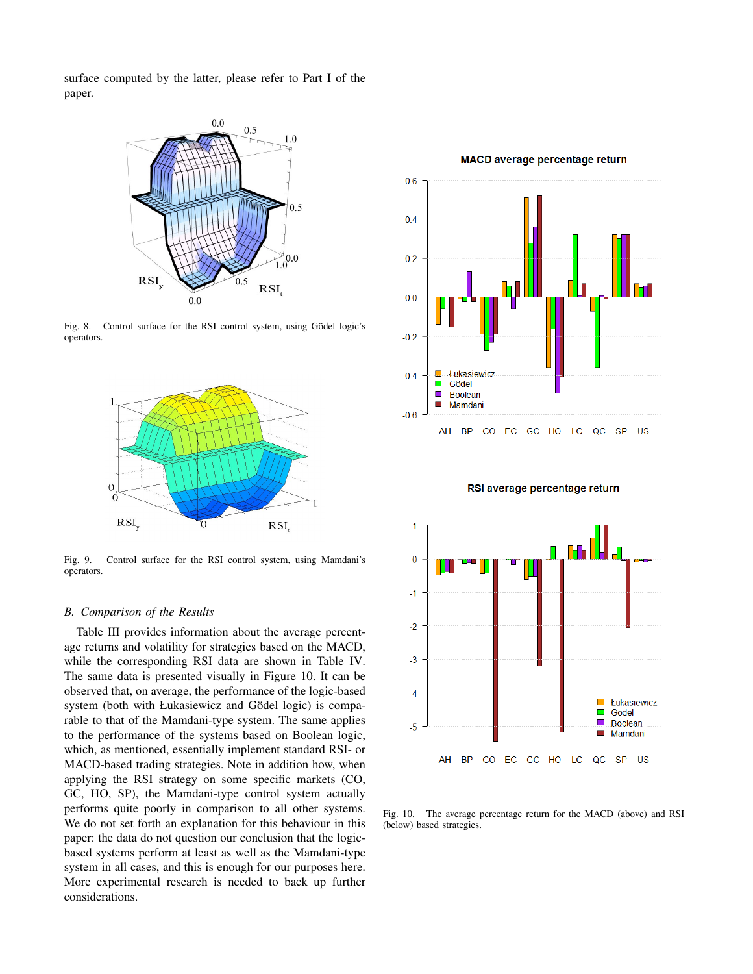surface computed by the latter, please refer to Part I of the paper.



Fig. 8. Control surface for the RSI control system, using Gödel logic's operators.



Fig. 9. Control surface for the RSI control system, using Mamdani's operators.

## *B. Comparison of the Results*

Table III provides information about the average percentage returns and volatility for strategies based on the MACD, while the corresponding RSI data are shown in Table IV. The same data is presented visually in Figure 10. It can be observed that, on average, the performance of the logic-based system (both with Łukasiewicz and Gödel logic) is comparable to that of the Mamdani-type system. The same applies to the performance of the systems based on Boolean logic, which, as mentioned, essentially implement standard RSI- or MACD-based trading strategies. Note in addition how, when applying the RSI strategy on some specific markets (CO, GC, HO, SP), the Mamdani-type control system actually performs quite poorly in comparison to all other systems. We do not set forth an explanation for this behaviour in this paper: the data do not question our conclusion that the logicbased systems perform at least as well as the Mamdani-type system in all cases, and this is enough for our purposes here. More experimental research is needed to back up further considerations.



RSI average percentage return



Fig. 10. The average percentage return for the MACD (above) and RSI (below) based strategies.